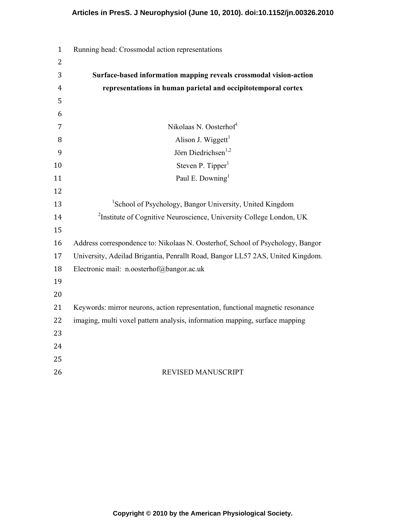# **Articles in PresS. J Neurophysiol (June 10, 2010). doi:10.1152/jn.00326.2010**

| $\mathbf{1}$   | Running head: Crossmodal action representations                                 |
|----------------|---------------------------------------------------------------------------------|
| $\overline{2}$ |                                                                                 |
| 3              | Surface-based information mapping reveals crossmodal vision-action              |
| 4              | representations in human parietal and occipitotemporal cortex                   |
| 5              |                                                                                 |
| 6              |                                                                                 |
| 7              | Nikolaas N. Oosterhof <sup>1</sup>                                              |
| 8              | Alison J. Wiggett $1$                                                           |
| 9              | Jörn Diedrichsen <sup>1,2</sup>                                                 |
| 10             | Steven P. Tipper <sup>1</sup>                                                   |
| 11             | Paul E. Downing <sup>1</sup>                                                    |
| 12             |                                                                                 |
| 13             | <sup>1</sup> School of Psychology, Bangor University, United Kingdom            |
| 14             | <sup>2</sup> Institute of Cognitive Neuroscience, University College London, UK |
| 15             |                                                                                 |
| 16             | Address correspondence to: Nikolaas N. Oosterhof, School of Psychology, Bangor  |
| 17             | University, Adeilad Brigantia, Penrallt Road, Bangor LL57 2AS, United Kingdom.  |
| 18             | Electronic mail: n.oosterhof@bangor.ac.uk                                       |
| 19             |                                                                                 |
| 20             |                                                                                 |
| 21             | Keywords: mirror neurons, action representation, functional magnetic resonance  |
| 22             | imaging, multi voxel pattern analysis, information mapping, surface mapping     |
| 23             |                                                                                 |
| 24             |                                                                                 |
| 25             |                                                                                 |
| 26             | REVISED MANUSCRIPT                                                              |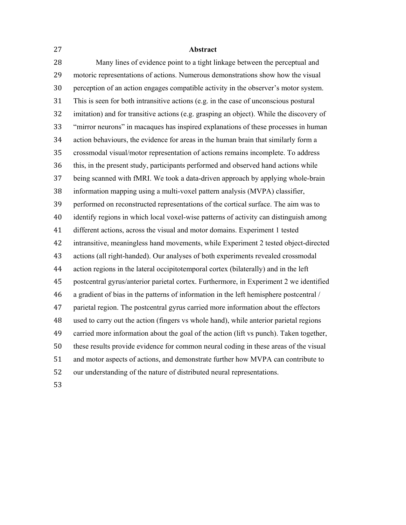| 27 | <b>Abstract</b>                                                                         |
|----|-----------------------------------------------------------------------------------------|
| 28 | Many lines of evidence point to a tight linkage between the perceptual and              |
| 29 | motoric representations of actions. Numerous demonstrations show how the visual         |
| 30 | perception of an action engages compatible activity in the observer's motor system.     |
| 31 | This is seen for both intransitive actions (e.g. in the case of unconscious postural    |
| 32 | imitation) and for transitive actions (e.g. grasping an object). While the discovery of |
| 33 | "mirror neurons" in macaques has inspired explanations of these processes in human      |
| 34 | action behaviours, the evidence for areas in the human brain that similarly form a      |
| 35 | crossmodal visual/motor representation of actions remains incomplete. To address        |
| 36 | this, in the present study, participants performed and observed hand actions while      |
| 37 | being scanned with fMRI. We took a data-driven approach by applying whole-brain         |
| 38 | information mapping using a multi-voxel pattern analysis (MVPA) classifier,             |
| 39 | performed on reconstructed representations of the cortical surface. The aim was to      |
| 40 | identify regions in which local voxel-wise patterns of activity can distinguish among   |
| 41 | different actions, across the visual and motor domains. Experiment 1 tested             |
| 42 | intransitive, meaningless hand movements, while Experiment 2 tested object-directed     |
| 43 | actions (all right-handed). Our analyses of both experiments revealed crossmodal        |
| 44 | action regions in the lateral occipitotemporal cortex (bilaterally) and in the left     |
| 45 | postcentral gyrus/anterior parietal cortex. Furthermore, in Experiment 2 we identified  |
| 46 | a gradient of bias in the patterns of information in the left hemisphere postcentral /  |
| 47 | parietal region. The postcentral gyrus carried more information about the effectors     |
| 48 | used to carry out the action (fingers vs whole hand), while anterior parietal regions   |
| 49 | carried more information about the goal of the action (lift vs punch). Taken together,  |
| 50 | these results provide evidence for common neural coding in these areas of the visual    |
| 51 | and motor aspects of actions, and demonstrate further how MVPA can contribute to        |
| 52 | our understanding of the nature of distributed neural representations.                  |
|    |                                                                                         |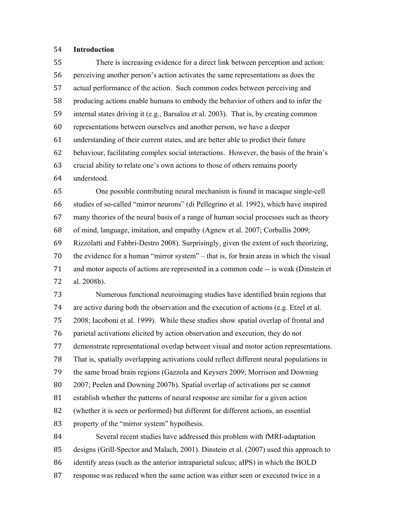#### **Introduction**

There is increasing evidence for a direct link between perception and action: perceiving another person's action activates the same representations as does the actual performance of the action. Such common codes between perceiving and producing actions enable humans to embody the behavior of others and to infer the internal states driving it (e.g., Barsalou et al. 2003). That is, by creating common representations between ourselves and another person, we have a deeper understanding of their current states, and are better able to predict their future behaviour, facilitating complex social interactions. However, the basis of the brain's crucial ability to relate one's own actions to those of others remains poorly understood.

One possible contributing neural mechanism is found in macaque single-cell studies of so-called "mirror neurons" (di Pellegrino et al. 1992), which have inspired many theories of the neural basis of a range of human social processes such as theory of mind, language, imitation, and empathy (Agnew et al. 2007; Corballis 2009; Rizzolatti and Fabbri-Destro 2008). Surprisingly, given the extent of such theorizing, the evidence for a human "mirror system" – that is, for brain areas in which the visual and motor aspects of actions are represented in a common code -- is weak (Dinstein et al. 2008b).

Numerous functional neuroimaging studies have identified brain regions that are active during both the observation and the execution of actions (e.g. Etzel et al. 2008; Iacoboni et al. 1999). While these studies show spatial overlap of frontal and parietal activations elicited by action observation and execution, they do not demonstrate representational overlap between visual and motor action representations. That is, spatially overlapping activations could reflect different neural populations in the same broad brain regions (Gazzola and Keysers 2009; Morrison and Downing 2007; Peelen and Downing 2007b). Spatial overlap of activations per se cannot establish whether the patterns of neural response are similar for a given action (whether it is seen or performed) but different for different actions, an essential property of the "mirror system" hypothesis. Several recent studies have addressed this problem with fMRI-adaptation designs (Grill-Spector and Malach, 2001). Dinstein et al. (2007) used this approach to identify areas (such as the anterior intraparietal sulcus; aIPS) in which the BOLD

response was reduced when the same action was either seen or executed twice in a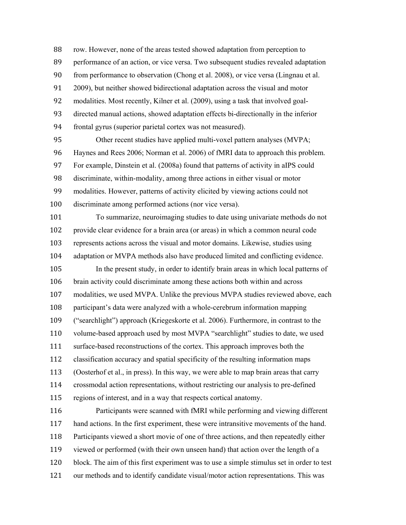row. However, none of the areas tested showed adaptation from perception to performance of an action, or vice versa. Two subsequent studies revealed adaptation from performance to observation (Chong et al. 2008), or vice versa (Lingnau et al. 2009), but neither showed bidirectional adaptation across the visual and motor modalities. Most recently, Kilner et al. (2009), using a task that involved goal-directed manual actions, showed adaptation effects bi-directionally in the inferior frontal gyrus (superior parietal cortex was not measured).

Other recent studies have applied multi-voxel pattern analyses (MVPA; Haynes and Rees 2006; Norman et al. 2006) of fMRI data to approach this problem. For example, Dinstein et al. (2008a) found that patterns of activity in aIPS could discriminate, within-modality, among three actions in either visual or motor modalities. However, patterns of activity elicited by viewing actions could not discriminate among performed actions (nor vice versa).

To summarize, neuroimaging studies to date using univariate methods do not provide clear evidence for a brain area (or areas) in which a common neural code represents actions across the visual and motor domains. Likewise, studies using adaptation or MVPA methods also have produced limited and conflicting evidence.

In the present study, in order to identify brain areas in which local patterns of brain activity could discriminate among these actions both within and across modalities, we used MVPA. Unlike the previous MVPA studies reviewed above, each participant's data were analyzed with a whole-cerebrum information mapping ("searchlight") approach (Kriegeskorte et al. 2006). Furthermore, in contrast to the volume-based approach used by most MVPA "searchlight" studies to date, we used surface-based reconstructions of the cortex. This approach improves both the classification accuracy and spatial specificity of the resulting information maps (Oosterhof et al., in press). In this way, we were able to map brain areas that carry crossmodal action representations, without restricting our analysis to pre-defined regions of interest, and in a way that respects cortical anatomy.

Participants were scanned with fMRI while performing and viewing different hand actions. In the first experiment, these were intransitive movements of the hand. Participants viewed a short movie of one of three actions, and then repeatedly either viewed or performed (with their own unseen hand) that action over the length of a block. The aim of this first experiment was to use a simple stimulus set in order to test our methods and to identify candidate visual/motor action representations. This was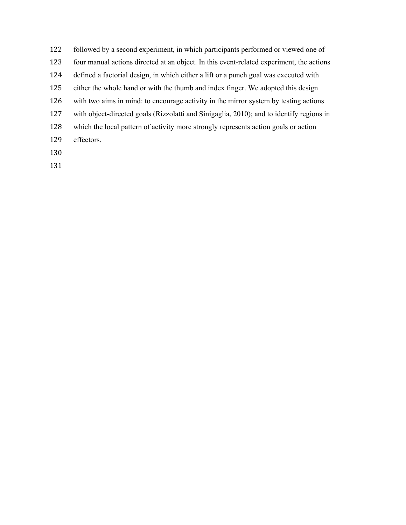- followed by a second experiment, in which participants performed or viewed one of
- four manual actions directed at an object. In this event-related experiment, the actions
- defined a factorial design, in which either a lift or a punch goal was executed with
- either the whole hand or with the thumb and index finger. We adopted this design
- with two aims in mind: to encourage activity in the mirror system by testing actions
- with object-directed goals (Rizzolatti and Sinigaglia, 2010); and to identify regions in
- which the local pattern of activity more strongly represents action goals or action
- effectors.
- 
-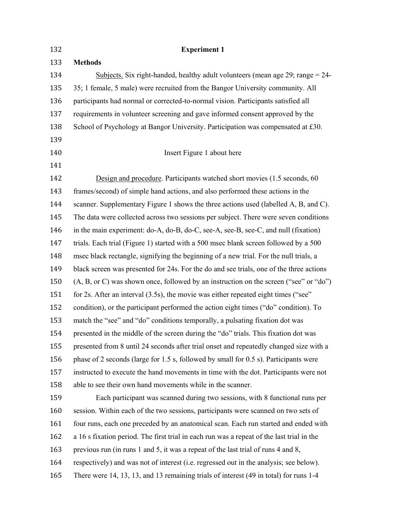| 132 | <b>Experiment 1</b>                                                                       |
|-----|-------------------------------------------------------------------------------------------|
| 133 | <b>Methods</b>                                                                            |
| 134 | Subjects. Six right-handed, healthy adult volunteers (mean age 29; range $= 24$ -         |
| 135 | 35; 1 female, 5 male) were recruited from the Bangor University community. All            |
| 136 | participants had normal or corrected-to-normal vision. Participants satisfied all         |
| 137 | requirements in volunteer screening and gave informed consent approved by the             |
| 138 | School of Psychology at Bangor University. Participation was compensated at £30.          |
| 139 |                                                                                           |
| 140 | Insert Figure 1 about here                                                                |
| 141 |                                                                                           |
| 142 | Design and procedure. Participants watched short movies (1.5 seconds, 60                  |
| 143 | frames/second) of simple hand actions, and also performed these actions in the            |
| 144 | scanner. Supplementary Figure 1 shows the three actions used (labelled A, B, and C).      |
| 145 | The data were collected across two sessions per subject. There were seven conditions      |
| 146 | in the main experiment: do-A, do-B, do-C, see-A, see-B, see-C, and null (fixation)        |
| 147 | trials. Each trial (Figure 1) started with a 500 msec blank screen followed by a 500      |
| 148 | msec black rectangle, signifying the beginning of a new trial. For the null trials, a     |
| 149 | black screen was presented for 24s. For the do and see trials, one of the three actions   |
| 150 | $(A, B, or C)$ was shown once, followed by an instruction on the screen ("see" or "do")   |
| 151 | for 2s. After an interval (3.5s), the movie was either repeated eight times ("see"        |
| 152 | condition), or the participant performed the action eight times ("do" condition). To      |
| 153 | match the "see" and "do" conditions temporally, a pulsating fixation dot was              |
| 154 | presented in the middle of the screen during the "do" trials. This fixation dot was       |
| 155 | presented from 8 until 24 seconds after trial onset and repeatedly changed size with a    |
| 156 | phase of 2 seconds (large for $1.5$ s, followed by small for $0.5$ s). Participants were  |
| 157 | instructed to execute the hand movements in time with the dot. Participants were not      |
| 158 | able to see their own hand movements while in the scanner.                                |
| 159 | Each participant was scanned during two sessions, with 8 functional runs per              |
| 160 | session. Within each of the two sessions, participants were scanned on two sets of        |
| 161 | four runs, each one preceded by an anatomical scan. Each run started and ended with       |
| 162 | a 16 s fixation period. The first trial in each run was a repeat of the last trial in the |
| 163 | previous run (in runs 1 and 5, it was a repeat of the last trial of runs 4 and 8,         |
| 164 | respectively) and was not of interest (i.e. regressed out in the analysis; see below).    |
| 165 | There were 14, 13, 13, and 13 remaining trials of interest (49 in total) for runs 1-4     |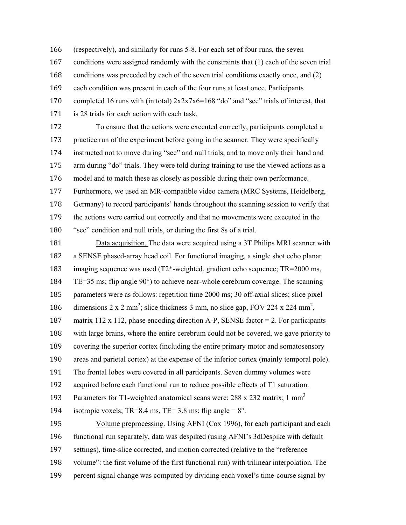(respectively), and similarly for runs 5-8. For each set of four runs, the seven conditions were assigned randomly with the constraints that (1) each of the seven trial conditions was preceded by each of the seven trial conditions exactly once, and (2) each condition was present in each of the four runs at least once. Participants completed 16 runs with (in total) 2x2x7x6=168 "do" and "see" trials of interest, that is 28 trials for each action with each task.

To ensure that the actions were executed correctly, participants completed a practice run of the experiment before going in the scanner. They were specifically instructed not to move during "see" and null trials, and to move only their hand and arm during "do" trials. They were told during training to use the viewed actions as a model and to match these as closely as possible during their own performance. Furthermore, we used an MR-compatible video camera (MRC Systems, Heidelberg, Germany) to record participants' hands throughout the scanning session to verify that

the actions were carried out correctly and that no movements were executed in the

"see" condition and null trials, or during the first 8s of a trial.

Data acquisition. The data were acquired using a 3T Philips MRI scanner with a SENSE phased-array head coil. For functional imaging, a single shot echo planar imaging sequence was used (T2\*-weighted, gradient echo sequence; TR=2000 ms, TE=35 ms; flip angle 90°) to achieve near-whole cerebrum coverage. The scanning parameters were as follows: repetition time 2000 ms; 30 off-axial slices; slice pixel 186 dimensions  $2 \times 2$  mm<sup>2</sup>; slice thickness 3 mm, no slice gap, FOV 224 x 224 mm<sup>2</sup>, matrix 112 x 112, phase encoding direction A-P, SENSE factor = 2. For participants with large brains, where the entire cerebrum could not be covered, we gave priority to covering the superior cortex (including the entire primary motor and somatosensory areas and parietal cortex) at the expense of the inferior cortex (mainly temporal pole). The frontal lobes were covered in all participants. Seven dummy volumes were acquired before each functional run to reduce possible effects of T1 saturation. 193 Parameters for T1-weighted anatomical scans were:  $288 \times 232$  matrix; 1 mm<sup>3</sup> 194 isotropic voxels; TR=8.4 ms, TE= 3.8 ms; flip angle =  $8^\circ$ . Volume preprocessing. Using AFNI (Cox 1996), for each participant and each

functional run separately, data was despiked (using AFNI's 3dDespike with default settings), time-slice corrected, and motion corrected (relative to the "reference volume": the first volume of the first functional run) with trilinear interpolation. The percent signal change was computed by dividing each voxel's time-course signal by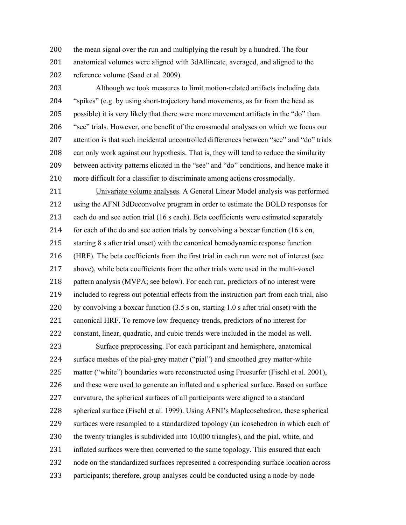the mean signal over the run and multiplying the result by a hundred. The four anatomical volumes were aligned with 3dAllineate, averaged, and aligned to the reference volume (Saad et al. 2009).

Although we took measures to limit motion-related artifacts including data "spikes" (e.g. by using short-trajectory hand movements, as far from the head as possible) it is very likely that there were more movement artifacts in the "do" than "see" trials. However, one benefit of the crossmodal analyses on which we focus our attention is that such incidental uncontrolled differences between "see" and "do" trials can only work against our hypothesis. That is, they will tend to reduce the similarity between activity patterns elicited in the "see" and "do" conditions, and hence make it more difficult for a classifier to discriminate among actions crossmodally.

Univariate volume analyses. A General Linear Model analysis was performed using the AFNI 3dDeconvolve program in order to estimate the BOLD responses for each do and see action trial (16 s each). Beta coefficients were estimated separately for each of the do and see action trials by convolving a boxcar function (16 s on, starting 8 s after trial onset) with the canonical hemodynamic response function (HRF). The beta coefficients from the first trial in each run were not of interest (see above), while beta coefficients from the other trials were used in the multi-voxel pattern analysis (MVPA; see below). For each run, predictors of no interest were included to regress out potential effects from the instruction part from each trial, also by convolving a boxcar function (3.5 s on, starting 1.0 s after trial onset) with the canonical HRF. To remove low frequency trends, predictors of no interest for constant, linear, quadratic, and cubic trends were included in the model as well.

Surface preprocessing. For each participant and hemisphere, anatomical surface meshes of the pial-grey matter ("pial") and smoothed grey matter-white 225 matter ("white") boundaries were reconstructed using Freesurfer (Fischl et al. 2001), and these were used to generate an inflated and a spherical surface. Based on surface curvature, the spherical surfaces of all participants were aligned to a standard spherical surface (Fischl et al. 1999). Using AFNI's MapIcosehedron, these spherical surfaces were resampled to a standardized topology (an icosehedron in which each of the twenty triangles is subdivided into 10,000 triangles), and the pial, white, and inflated surfaces were then converted to the same topology. This ensured that each node on the standardized surfaces represented a corresponding surface location across participants; therefore, group analyses could be conducted using a node-by-node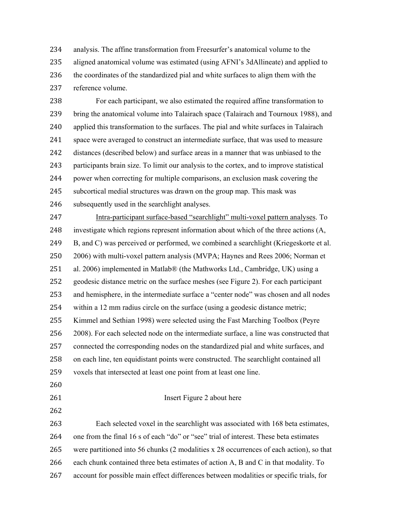analysis. The affine transformation from Freesurfer's anatomical volume to the aligned anatomical volume was estimated (using AFNI's 3dAllineate) and applied to the coordinates of the standardized pial and white surfaces to align them with the reference volume.

For each participant, we also estimated the required affine transformation to bring the anatomical volume into Talairach space (Talairach and Tournoux 1988), and applied this transformation to the surfaces. The pial and white surfaces in Talairach space were averaged to construct an intermediate surface, that was used to measure distances (described below) and surface areas in a manner that was unbiased to the participants brain size. To limit our analysis to the cortex, and to improve statistical power when correcting for multiple comparisons, an exclusion mask covering the subcortical medial structures was drawn on the group map. This mask was subsequently used in the searchlight analyses.

Intra-participant surface-based "searchlight" multi-voxel pattern analyses. To investigate which regions represent information about which of the three actions (A, B, and C) was perceived or performed, we combined a searchlight (Kriegeskorte et al. 2006) with multi-voxel pattern analysis (MVPA; Haynes and Rees 2006; Norman et al. 2006) implemented in Matlab® (the Mathworks Ltd., Cambridge, UK) using a geodesic distance metric on the surface meshes (see Figure 2). For each participant and hemisphere, in the intermediate surface a "center node" was chosen and all nodes within a 12 mm radius circle on the surface (using a geodesic distance metric; Kimmel and Sethian 1998) were selected using the Fast Marching Toolbox (Peyre 2008). For each selected node on the intermediate surface, a line was constructed that connected the corresponding nodes on the standardized pial and white surfaces, and on each line, ten equidistant points were constructed. The searchlight contained all voxels that intersected at least one point from at least one line.

- 
- 

#### Insert Figure 2 about here

Each selected voxel in the searchlight was associated with 168 beta estimates, one from the final 16 s of each "do" or "see" trial of interest. These beta estimates were partitioned into 56 chunks (2 modalities x 28 occurrences of each action), so that each chunk contained three beta estimates of action A, B and C in that modality. To account for possible main effect differences between modalities or specific trials, for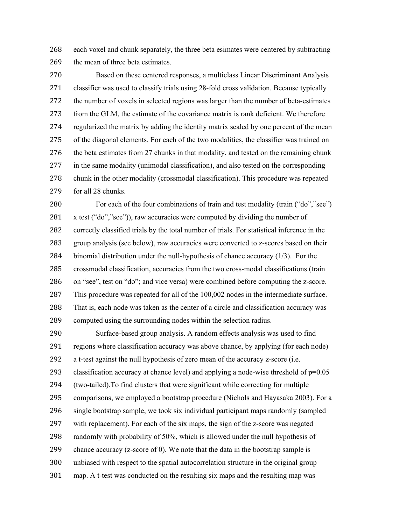each voxel and chunk separately, the three beta esimates were centered by subtracting 269 the mean of three beta estimates.

Based on these centered responses, a multiclass Linear Discriminant Analysis classifier was used to classify trials using 28-fold cross validation. Because typically the number of voxels in selected regions was larger than the number of beta-estimates from the GLM, the estimate of the covariance matrix is rank deficient. We therefore regularized the matrix by adding the identity matrix scaled by one percent of the mean of the diagonal elements. For each of the two modalities, the classifier was trained on the beta estimates from 27 chunks in that modality, and tested on the remaining chunk in the same modality (unimodal classification), and also tested on the corresponding chunk in the other modality (crossmodal classification). This procedure was repeated for all 28 chunks.

For each of the four combinations of train and test modality (train ("do","see") x test ("do","see")), raw accuracies were computed by dividing the number of correctly classified trials by the total number of trials. For statistical inference in the group analysis (see below), raw accuracies were converted to z-scores based on their binomial distribution under the null-hypothesis of chance accuracy (1/3). For the crossmodal classification, accuracies from the two cross-modal classifications (train on "see", test on "do"; and vice versa) were combined before computing the z-score. This procedure was repeated for all of the 100,002 nodes in the intermediate surface. That is, each node was taken as the center of a circle and classification accuracy was computed using the surrounding nodes within the selection radius.

Surface-based group analysis. A random effects analysis was used to find regions where classification accuracy was above chance, by applying (for each node) a t-test against the null hypothesis of zero mean of the accuracy z-score (i.e. 293 classification accuracy at chance level) and applying a node-wise threshold of  $p=0.05$ (two-tailed).To find clusters that were significant while correcting for multiple comparisons, we employed a bootstrap procedure (Nichols and Hayasaka 2003). For a single bootstrap sample, we took six individual participant maps randomly (sampled with replacement). For each of the six maps, the sign of the z-score was negated randomly with probability of 50%, which is allowed under the null hypothesis of chance accuracy (z-score of 0). We note that the data in the bootstrap sample is unbiased with respect to the spatial autocorrelation structure in the original group map. A t-test was conducted on the resulting six maps and the resulting map was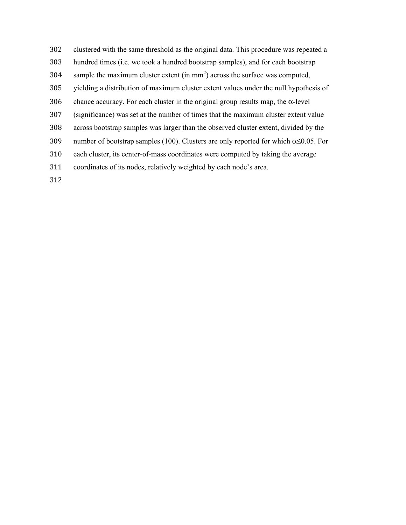- clustered with the same threshold as the original data. This procedure was repeated a hundred times (i.e. we took a hundred bootstrap samples), and for each bootstrap
- 
- 304 sample the maximum cluster extent  $(\text{in mm}^2)$  across the surface was computed,
- yielding a distribution of maximum cluster extent values under the null hypothesis of
- 306 chance accuracy. For each cluster in the original group results map, the  $\alpha$ -level
- (significance) was set at the number of times that the maximum cluster extent value
- across bootstrap samples was larger than the observed cluster extent, divided by the
- number of bootstrap samples (100). Clusters are only reported for which α≤0.05. For
- each cluster, its center-of-mass coordinates were computed by taking the average
- coordinates of its nodes, relatively weighted by each node's area.
-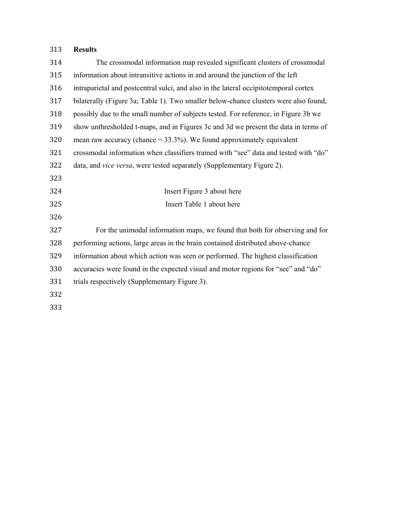### **Results**

| 314 | The crossmodal information map revealed significant clusters of crossmodal           |
|-----|--------------------------------------------------------------------------------------|
| 315 | information about intransitive actions in and around the junction of the left        |
| 316 | intraparietal and postcentral sulci, and also in the lateral occipitotemporal cortex |
| 317 | bilaterally (Figure 3a; Table 1). Two smaller below-chance clusters were also found, |
| 318 | possibly due to the small number of subjects tested. For reference, in Figure 3b we  |
| 319 | show unthresholded t-maps, and in Figures 3c and 3d we present the data in terms of  |
| 320 | mean raw accuracy (chance $=$ 33.3%). We found approximately equivalent              |
| 321 | crossmodal information when classifiers trained with "see" data and tested with "do" |
| 322 | data, and <i>vice versa</i> , were tested separately (Supplementary Figure 2).       |
| 323 |                                                                                      |
| 324 | Insert Figure 3 about here                                                           |
| 325 | Insert Table 1 about here                                                            |
| 326 |                                                                                      |
| 327 | For the unimodal information maps, we found that both for observing and for          |
| 328 | performing actions, large areas in the brain contained distributed above-chance      |
| 329 | information about which action was seen or performed. The highest classification     |
| 330 | accuracies were found in the expected visual and motor regions for "see" and "do"    |
| 331 | trials respectively (Supplementary Figure 3).                                        |
| 332 |                                                                                      |
| 333 |                                                                                      |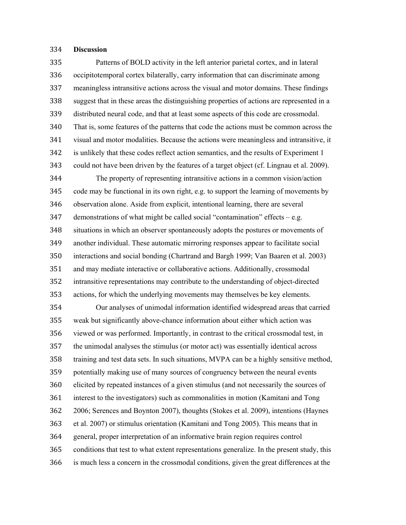#### **Discussion**

Patterns of BOLD activity in the left anterior parietal cortex, and in lateral occipitotemporal cortex bilaterally, carry information that can discriminate among meaningless intransitive actions across the visual and motor domains. These findings suggest that in these areas the distinguishing properties of actions are represented in a distributed neural code, and that at least some aspects of this code are crossmodal. That is, some features of the patterns that code the actions must be common across the visual and motor modalities. Because the actions were meaningless and intransitive, it is unlikely that these codes reflect action semantics, and the results of Experiment 1 could not have been driven by the features of a target object (cf. Lingnau et al. 2009).

The property of representing intransitive actions in a common vision/action code may be functional in its own right, e.g. to support the learning of movements by observation alone. Aside from explicit, intentional learning, there are several demonstrations of what might be called social "contamination" effects – e.g. situations in which an observer spontaneously adopts the postures or movements of another individual. These automatic mirroring responses appear to facilitate social interactions and social bonding (Chartrand and Bargh 1999; Van Baaren et al. 2003) and may mediate interactive or collaborative actions. Additionally, crossmodal intransitive representations may contribute to the understanding of object-directed actions, for which the underlying movements may themselves be key elements.

Our analyses of unimodal information identified widespread areas that carried weak but significantly above-chance information about either which action was viewed or was performed. Importantly, in contrast to the critical crossmodal test, in the unimodal analyses the stimulus (or motor act) was essentially identical across training and test data sets. In such situations, MVPA can be a highly sensitive method, potentially making use of many sources of congruency between the neural events elicited by repeated instances of a given stimulus (and not necessarily the sources of interest to the investigators) such as commonalities in motion (Kamitani and Tong 2006; Serences and Boynton 2007), thoughts (Stokes et al. 2009), intentions (Haynes et al. 2007) or stimulus orientation (Kamitani and Tong 2005). This means that in general, proper interpretation of an informative brain region requires control conditions that test to what extent representations generalize. In the present study, this is much less a concern in the crossmodal conditions, given the great differences at the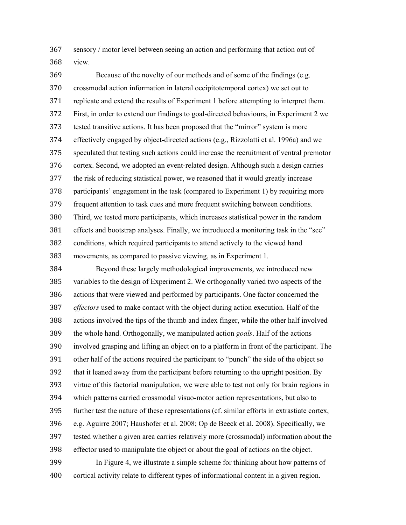sensory / motor level between seeing an action and performing that action out of view.

Because of the novelty of our methods and of some of the findings (e.g. crossmodal action information in lateral occipitotemporal cortex) we set out to replicate and extend the results of Experiment 1 before attempting to interpret them. First, in order to extend our findings to goal-directed behaviours, in Experiment 2 we tested transitive actions. It has been proposed that the "mirror" system is more effectively engaged by object-directed actions (e.g., Rizzolatti et al. 1996a) and we speculated that testing such actions could increase the recruitment of ventral premotor cortex. Second, we adopted an event-related design. Although such a design carries the risk of reducing statistical power, we reasoned that it would greatly increase participants' engagement in the task (compared to Experiment 1) by requiring more frequent attention to task cues and more frequent switching between conditions. Third, we tested more participants, which increases statistical power in the random effects and bootstrap analyses. Finally, we introduced a monitoring task in the "see" conditions, which required participants to attend actively to the viewed hand movements, as compared to passive viewing, as in Experiment 1.

Beyond these largely methodological improvements, we introduced new variables to the design of Experiment 2. We orthogonally varied two aspects of the actions that were viewed and performed by participants. One factor concerned the *effectors* used to make contact with the object during action execution. Half of the actions involved the tips of the thumb and index finger, while the other half involved the whole hand. Orthogonally, we manipulated action *goals*. Half of the actions involved grasping and lifting an object on to a platform in front of the participant. The other half of the actions required the participant to "punch" the side of the object so that it leaned away from the participant before returning to the upright position. By virtue of this factorial manipulation, we were able to test not only for brain regions in which patterns carried crossmodal visuo-motor action representations, but also to further test the nature of these representations (cf. similar efforts in extrastiate cortex, e.g. Aguirre 2007; Haushofer et al. 2008; Op de Beeck et al. 2008). Specifically, we tested whether a given area carries relatively more (crossmodal) information about the effector used to manipulate the object or about the goal of actions on the object. In Figure 4, we illustrate a simple scheme for thinking about how patterns of

cortical activity relate to different types of informational content in a given region.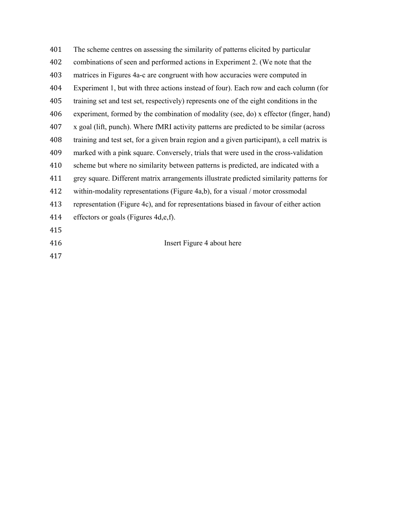The scheme centres on assessing the similarity of patterns elicited by particular combinations of seen and performed actions in Experiment 2. (We note that the matrices in Figures 4a-c are congruent with how accuracies were computed in Experiment 1, but with three actions instead of four). Each row and each column (for training set and test set, respectively) represents one of the eight conditions in the experiment, formed by the combination of modality (see, do) x effector (finger, hand) x goal (lift, punch). Where fMRI activity patterns are predicted to be similar (across training and test set, for a given brain region and a given participant), a cell matrix is marked with a pink square. Conversely, trials that were used in the cross-validation scheme but where no similarity between patterns is predicted, are indicated with a grey square. Different matrix arrangements illustrate predicted similarity patterns for within-modality representations (Figure 4a,b), for a visual / motor crossmodal representation (Figure 4c), and for representations biased in favour of either action effectors or goals (Figures 4d,e,f). Insert Figure 4 about here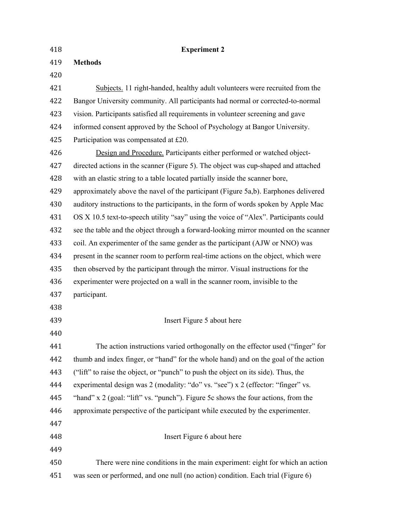| 418 | <b>Experiment 2</b>                                                                  |
|-----|--------------------------------------------------------------------------------------|
| 419 | <b>Methods</b>                                                                       |
| 420 |                                                                                      |
| 421 | Subjects. 11 right-handed, healthy adult volunteers were recruited from the          |
| 422 | Bangor University community. All participants had normal or corrected-to-normal      |
| 423 | vision. Participants satisfied all requirements in volunteer screening and gave      |
| 424 | informed consent approved by the School of Psychology at Bangor University.          |
| 425 | Participation was compensated at £20.                                                |
| 426 | Design and Procedure. Participants either performed or watched object-               |
| 427 | directed actions in the scanner (Figure 5). The object was cup-shaped and attached   |
| 428 | with an elastic string to a table located partially inside the scanner bore,         |
| 429 | approximately above the navel of the participant (Figure 5a,b). Earphones delivered  |
| 430 | auditory instructions to the participants, in the form of words spoken by Apple Mac  |
| 431 | OS X 10.5 text-to-speech utility "say" using the voice of "Alex". Participants could |
| 432 | see the table and the object through a forward-looking mirror mounted on the scanner |
| 433 | coil. An experimenter of the same gender as the participant (AJW or NNO) was         |
| 434 | present in the scanner room to perform real-time actions on the object, which were   |
| 435 | then observed by the participant through the mirror. Visual instructions for the     |
| 436 | experimenter were projected on a wall in the scanner room, invisible to the          |
| 437 | participant.                                                                         |
| 438 |                                                                                      |
| 439 | Insert Figure 5 about here                                                           |
| 440 |                                                                                      |
| 441 | The action instructions varied orthogonally on the effector used ("finger" for       |
| 442 | thumb and index finger, or "hand" for the whole hand) and on the goal of the action  |
| 443 | ("lift" to raise the object, or "punch" to push the object on its side). Thus, the   |
| 444 | experimental design was 2 (modality: "do" vs. "see") x 2 (effector: "finger" vs.     |
| 445 | "hand" x 2 (goal: "lift" vs. "punch"). Figure 5c shows the four actions, from the    |
| 446 | approximate perspective of the participant while executed by the experimenter.       |
| 447 |                                                                                      |
| 448 | Insert Figure 6 about here                                                           |
| 449 |                                                                                      |
| 450 | There were nine conditions in the main experiment: eight for which an action         |
| 451 | was seen or performed, and one null (no action) condition. Each trial (Figure 6)     |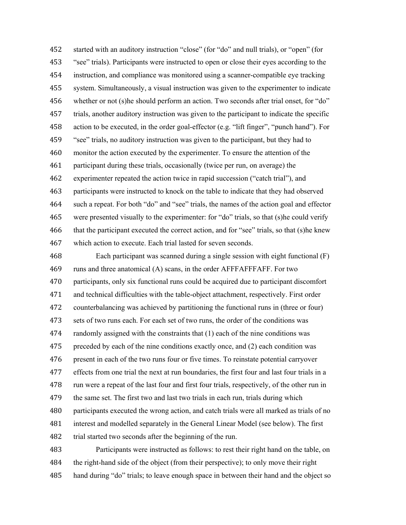started with an auditory instruction "close" (for "do" and null trials), or "open" (for "see" trials). Participants were instructed to open or close their eyes according to the instruction, and compliance was monitored using a scanner-compatible eye tracking system. Simultaneously, a visual instruction was given to the experimenter to indicate whether or not (s)he should perform an action. Two seconds after trial onset, for "do" trials, another auditory instruction was given to the participant to indicate the specific action to be executed, in the order goal-effector (e.g. "lift finger", "punch hand"). For "see" trials, no auditory instruction was given to the participant, but they had to monitor the action executed by the experimenter. To ensure the attention of the participant during these trials, occasionally (twice per run, on average) the experimenter repeated the action twice in rapid succession ("catch trial"), and participants were instructed to knock on the table to indicate that they had observed such a repeat. For both "do" and "see" trials, the names of the action goal and effector were presented visually to the experimenter: for "do" trials, so that (s)he could verify that the participant executed the correct action, and for "see" trials, so that (s)he knew which action to execute. Each trial lasted for seven seconds.

Each participant was scanned during a single session with eight functional (F) runs and three anatomical (A) scans, in the order AFFFAFFFAFF. For two participants, only six functional runs could be acquired due to participant discomfort and technical difficulties with the table-object attachment, respectively. First order counterbalancing was achieved by partitioning the functional runs in (three or four) sets of two runs each. For each set of two runs, the order of the conditions was randomly assigned with the constraints that (1) each of the nine conditions was preceded by each of the nine conditions exactly once, and (2) each condition was present in each of the two runs four or five times. To reinstate potential carryover effects from one trial the next at run boundaries, the first four and last four trials in a run were a repeat of the last four and first four trials, respectively, of the other run in the same set. The first two and last two trials in each run, trials during which participants executed the wrong action, and catch trials were all marked as trials of no interest and modelled separately in the General Linear Model (see below). The first trial started two seconds after the beginning of the run. Participants were instructed as follows: to rest their right hand on the table, on the right-hand side of the object (from their perspective); to only move their right

hand during "do" trials; to leave enough space in between their hand and the object so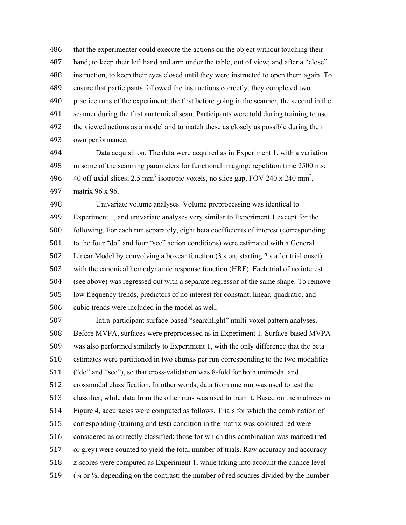that the experimenter could execute the actions on the object without touching their hand; to keep their left hand and arm under the table, out of view; and after a "close" instruction, to keep their eyes closed until they were instructed to open them again. To ensure that participants followed the instructions correctly, they completed two practice runs of the experiment: the first before going in the scanner, the second in the scanner during the first anatomical scan. Participants were told during training to use the viewed actions as a model and to match these as closely as possible during their own performance.

Data acquisition. The data were acquired as in Experiment 1, with a variation in some of the scanning parameters for functional imaging: repetition time 2500 ms;  $\,$  40 off-axial slices; 2.5 mm<sup>3</sup> isotropic voxels, no slice gap, FOV 240 x 240 mm<sup>2</sup>, matrix 96 x 96.

Univariate volume analyses. Volume preprocessing was identical to Experiment 1, and univariate analyses very similar to Experiment 1 except for the following. For each run separately, eight beta coefficients of interest (corresponding to the four "do" and four "see" action conditions) were estimated with a General Linear Model by convolving a boxcar function (3 s on, starting 2 s after trial onset) with the canonical hemodynamic response function (HRF). Each trial of no interest (see above) was regressed out with a separate regressor of the same shape. To remove low frequency trends, predictors of no interest for constant, linear, quadratic, and cubic trends were included in the model as well.

Intra-participant surface-based "searchlight" multi-voxel pattern analyses. Before MVPA, surfaces were preprocessed as in Experiment 1. Surface-based MVPA was also performed similarly to Experiment 1, with the only difference that the beta estimates were partitioned in two chunks per run corresponding to the two modalities ("do" and "see"), so that cross-validation was 8-fold for both unimodal and crossmodal classification. In other words, data from one run was used to test the classifier, while data from the other runs was used to train it. Based on the matrices in Figure 4, accuracies were computed as follows. Trials for which the combination of corresponding (training and test) condition in the matrix was coloured red were considered as correctly classified; those for which this combination was marked (red or grey) were counted to yield the total number of trials. Raw accuracy and accuracy z-scores were computed as Experiment 1, while taking into account the chance level 519 ( $\frac{1}{4}$  or  $\frac{1}{2}$ , depending on the contrast: the number of red squares divided by the number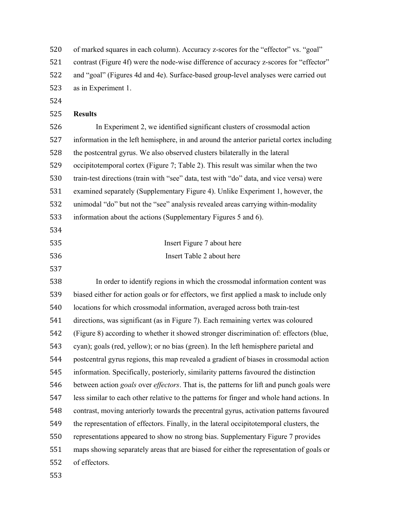| 520 | of marked squares in each column). Accuracy z-scores for the "effector" vs. "goal"       |  |  |  |  |
|-----|------------------------------------------------------------------------------------------|--|--|--|--|
| 521 | contrast (Figure 4f) were the node-wise difference of accuracy z-scores for "effector"   |  |  |  |  |
| 522 | and "goal" (Figures 4d and 4e). Surface-based group-level analyses were carried out      |  |  |  |  |
| 523 | as in Experiment 1.                                                                      |  |  |  |  |
| 524 |                                                                                          |  |  |  |  |
| 525 | <b>Results</b>                                                                           |  |  |  |  |
| 526 | In Experiment 2, we identified significant clusters of crossmodal action                 |  |  |  |  |
| 527 | information in the left hemisphere, in and around the anterior parietal cortex including |  |  |  |  |
| 528 | the postcentral gyrus. We also observed clusters bilaterally in the lateral              |  |  |  |  |
| 529 | occipitotemporal cortex (Figure 7; Table 2). This result was similar when the two        |  |  |  |  |
| 530 | train-test directions (train with "see" data, test with "do" data, and vice versa) were  |  |  |  |  |
| 531 | examined separately (Supplementary Figure 4). Unlike Experiment 1, however, the          |  |  |  |  |
| 532 | unimodal "do" but not the "see" analysis revealed areas carrying within-modality         |  |  |  |  |
| 533 | information about the actions (Supplementary Figures 5 and 6).                           |  |  |  |  |
| 534 |                                                                                          |  |  |  |  |
| 535 | Insert Figure 7 about here                                                               |  |  |  |  |
| 536 | Insert Table 2 about here                                                                |  |  |  |  |
| 537 |                                                                                          |  |  |  |  |
| 538 | In order to identify regions in which the crossmodal information content was             |  |  |  |  |
| 539 | biased either for action goals or for effectors, we first applied a mask to include only |  |  |  |  |
| 540 | locations for which crossmodal information, averaged across both train-test              |  |  |  |  |
| 541 | directions, was significant (as in Figure 7). Each remaining vertex was coloured         |  |  |  |  |
| 542 | (Figure 8) according to whether it showed stronger discrimination of: effectors (blue,   |  |  |  |  |
| 543 | cyan); goals (red, yellow); or no bias (green). In the left hemisphere parietal and      |  |  |  |  |
| 544 | postcentral gyrus regions, this map revealed a gradient of biases in crossmodal action   |  |  |  |  |
| 545 | information. Specifically, posteriorly, similarity patterns favoured the distinction     |  |  |  |  |

between action *goals* over *effectors*. That is, the patterns for lift and punch goals were less similar to each other relative to the patterns for finger and whole hand actions. In

contrast, moving anteriorly towards the precentral gyrus, activation patterns favoured

- the representation of effectors. Finally, in the lateral occipitotemporal clusters, the
- representations appeared to show no strong bias. Supplementary Figure 7 provides
- maps showing separately areas that are biased for either the representation of goals or
- of effectors.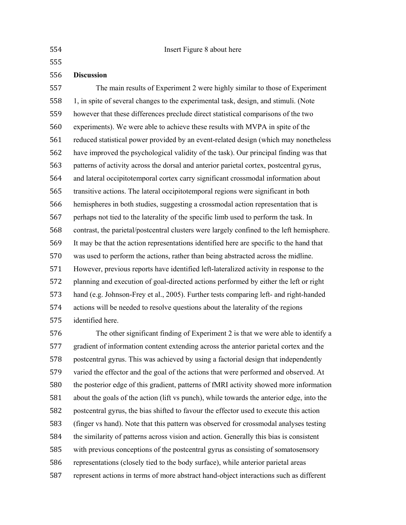#### Insert Figure 8 about here

#### **Discussion**

The main results of Experiment 2 were highly similar to those of Experiment 1, in spite of several changes to the experimental task, design, and stimuli. (Note however that these differences preclude direct statistical comparisons of the two experiments). We were able to achieve these results with MVPA in spite of the reduced statistical power provided by an event-related design (which may nonetheless have improved the psychological validity of the task). Our principal finding was that patterns of activity across the dorsal and anterior parietal cortex, postcentral gyrus, and lateral occipitotemporal cortex carry significant crossmodal information about transitive actions. The lateral occipitotemporal regions were significant in both hemispheres in both studies, suggesting a crossmodal action representation that is perhaps not tied to the laterality of the specific limb used to perform the task. In contrast, the parietal/postcentral clusters were largely confined to the left hemisphere. It may be that the action representations identified here are specific to the hand that was used to perform the actions, rather than being abstracted across the midline. However, previous reports have identified left-lateralized activity in response to the planning and execution of goal-directed actions performed by either the left or right hand (e.g. Johnson-Frey et al., 2005). Further tests comparing left- and right-handed actions will be needed to resolve questions about the laterality of the regions identified here.

The other significant finding of Experiment 2 is that we were able to identify a gradient of information content extending across the anterior parietal cortex and the postcentral gyrus. This was achieved by using a factorial design that independently varied the effector and the goal of the actions that were performed and observed. At the posterior edge of this gradient, patterns of fMRI activity showed more information about the goals of the action (lift vs punch), while towards the anterior edge, into the postcentral gyrus, the bias shifted to favour the effector used to execute this action (finger vs hand). Note that this pattern was observed for crossmodal analyses testing the similarity of patterns across vision and action. Generally this bias is consistent with previous conceptions of the postcentral gyrus as consisting of somatosensory representations (closely tied to the body surface), while anterior parietal areas represent actions in terms of more abstract hand-object interactions such as different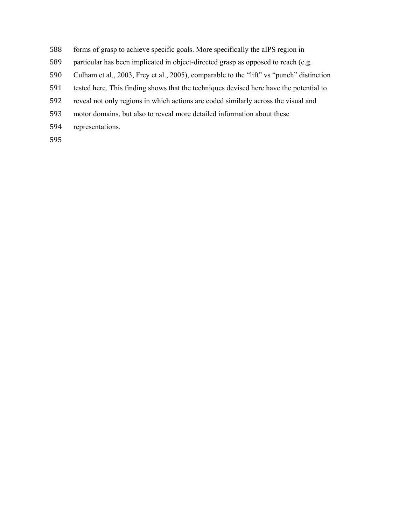- forms of grasp to achieve specific goals. More specifically the aIPS region in
- particular has been implicated in object-directed grasp as opposed to reach (e.g.
- Culham et al., 2003, Frey et al., 2005), comparable to the "lift" vs "punch" distinction
- tested here. This finding shows that the techniques devised here have the potential to
- reveal not only regions in which actions are coded similarly across the visual and
- motor domains, but also to reveal more detailed information about these
- representations.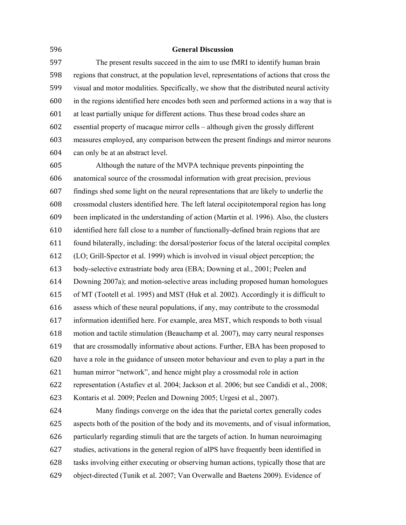The present results succeed in the aim to use fMRI to identify human brain regions that construct, at the population level, representations of actions that cross the visual and motor modalities. Specifically, we show that the distributed neural activity in the regions identified here encodes both seen and performed actions in a way that is at least partially unique for different actions. Thus these broad codes share an essential property of macaque mirror cells – although given the grossly different measures employed, any comparison between the present findings and mirror neurons can only be at an abstract level.

Although the nature of the MVPA technique prevents pinpointing the anatomical source of the crossmodal information with great precision, previous findings shed some light on the neural representations that are likely to underlie the crossmodal clusters identified here. The left lateral occipitotemporal region has long been implicated in the understanding of action (Martin et al. 1996). Also, the clusters identified here fall close to a number of functionally-defined brain regions that are found bilaterally, including: the dorsal/posterior focus of the lateral occipital complex (LO; Grill-Spector et al. 1999) which is involved in visual object perception; the body-selective extrastriate body area (EBA; Downing et al., 2001; Peelen and Downing 2007a); and motion-selective areas including proposed human homologues of MT (Tootell et al. 1995) and MST (Huk et al. 2002). Accordingly it is difficult to assess which of these neural populations, if any, may contribute to the crossmodal information identified here. For example, area MST, which responds to both visual motion and tactile stimulation (Beauchamp et al. 2007), may carry neural responses that are crossmodally informative about actions. Further, EBA has been proposed to have a role in the guidance of unseen motor behaviour and even to play a part in the human mirror "network", and hence might play a crossmodal role in action representation (Astafiev et al. 2004; Jackson et al. 2006; but see Candidi et al., 2008; Kontaris et al. 2009; Peelen and Downing 2005; Urgesi et al., 2007). Many findings converge on the idea that the parietal cortex generally codes aspects both of the position of the body and its movements, and of visual information, particularly regarding stimuli that are the targets of action. In human neuroimaging

studies, activations in the general region of aIPS have frequently been identified in

tasks involving either executing or observing human actions, typically those that are

object-directed (Tunik et al. 2007; Van Overwalle and Baetens 2009). Evidence of

## **General Discussion**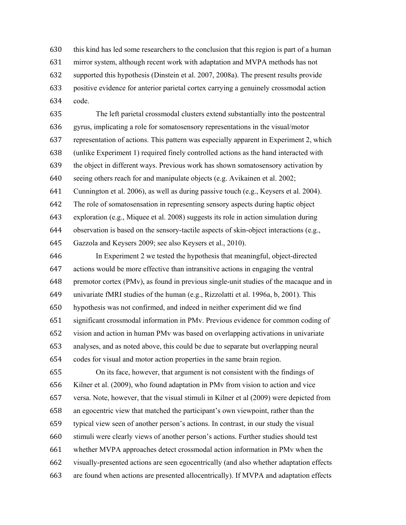this kind has led some researchers to the conclusion that this region is part of a human mirror system, although recent work with adaptation and MVPA methods has not supported this hypothesis (Dinstein et al. 2007, 2008a). The present results provide positive evidence for anterior parietal cortex carrying a genuinely crossmodal action code.

The left parietal crossmodal clusters extend substantially into the postcentral gyrus, implicating a role for somatosensory representations in the visual/motor representation of actions. This pattern was especially apparent in Experiment 2, which (unlike Experiment 1) required finely controlled actions as the hand interacted with the object in different ways. Previous work has shown somatosensory activation by seeing others reach for and manipulate objects (e.g. Avikainen et al. 2002; Cunnington et al. 2006), as well as during passive touch (e.g., Keysers et al. 2004).

The role of somatosensation in representing sensory aspects during haptic object exploration (e.g., Miquee et al. 2008) suggests its role in action simulation during observation is based on the sensory-tactile aspects of skin-object interactions (e.g., Gazzola and Keysers 2009; see also Keysers et al., 2010).

In Experiment 2 we tested the hypothesis that meaningful, object-directed actions would be more effective than intransitive actions in engaging the ventral premotor cortex (PMv), as found in previous single-unit studies of the macaque and in univariate fMRI studies of the human (e.g., Rizzolatti et al. 1996a, b, 2001). This hypothesis was not confirmed, and indeed in neither experiment did we find significant crossmodal information in PMv. Previous evidence for common coding of vision and action in human PMv was based on overlapping activations in univariate analyses, and as noted above, this could be due to separate but overlapping neural codes for visual and motor action properties in the same brain region.

On its face, however, that argument is not consistent with the findings of Kilner et al. (2009), who found adaptation in PMv from vision to action and vice versa. Note, however, that the visual stimuli in Kilner et al (2009) were depicted from an egocentric view that matched the participant's own viewpoint, rather than the typical view seen of another person's actions. In contrast, in our study the visual stimuli were clearly views of another person's actions. Further studies should test whether MVPA approaches detect crossmodal action information in PMv when the visually-presented actions are seen egocentrically (and also whether adaptation effects are found when actions are presented allocentrically). If MVPA and adaptation effects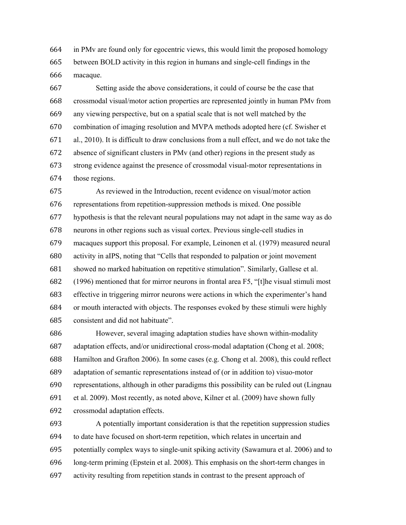in PMv are found only for egocentric views, this would limit the proposed homology between BOLD activity in this region in humans and single-cell findings in the macaque.

Setting aside the above considerations, it could of course be the case that crossmodal visual/motor action properties are represented jointly in human PMv from any viewing perspective, but on a spatial scale that is not well matched by the combination of imaging resolution and MVPA methods adopted here (cf. Swisher et al., 2010). It is difficult to draw conclusions from a null effect, and we do not take the absence of significant clusters in PMv (and other) regions in the present study as strong evidence against the presence of crossmodal visual-motor representations in those regions.

As reviewed in the Introduction, recent evidence on visual/motor action representations from repetition-suppression methods is mixed. One possible hypothesis is that the relevant neural populations may not adapt in the same way as do neurons in other regions such as visual cortex. Previous single-cell studies in macaques support this proposal. For example, Leinonen et al. (1979) measured neural activity in aIPS, noting that "Cells that responded to palpation or joint movement showed no marked habituation on repetitive stimulation". Similarly, Gallese et al. (1996) mentioned that for mirror neurons in frontal area F5, "[t]he visual stimuli most effective in triggering mirror neurons were actions in which the experimenter's hand or mouth interacted with objects. The responses evoked by these stimuli were highly consistent and did not habituate".

However, several imaging adaptation studies have shown within-modality adaptation effects, and/or unidirectional cross-modal adaptation (Chong et al. 2008; Hamilton and Grafton 2006). In some cases (e.g. Chong et al. 2008), this could reflect adaptation of semantic representations instead of (or in addition to) visuo-motor representations, although in other paradigms this possibility can be ruled out (Lingnau et al. 2009). Most recently, as noted above, Kilner et al. (2009) have shown fully crossmodal adaptation effects.

A potentially important consideration is that the repetition suppression studies to date have focused on short-term repetition, which relates in uncertain and potentially complex ways to single-unit spiking activity (Sawamura et al. 2006) and to long-term priming (Epstein et al. 2008). This emphasis on the short-term changes in activity resulting from repetition stands in contrast to the present approach of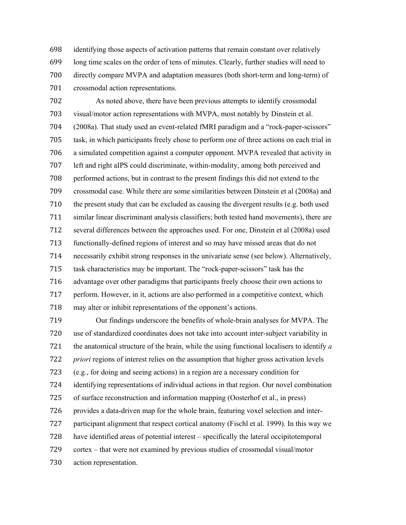identifying those aspects of activation patterns that remain constant over relatively long time scales on the order of tens of minutes. Clearly, further studies will need to directly compare MVPA and adaptation measures (both short-term and long-term) of crossmodal action representations.

As noted above, there have been previous attempts to identify crossmodal visual/motor action representations with MVPA, most notably by Dinstein et al. (2008a). That study used an event-related fMRI paradigm and a "rock-paper-scissors" task, in which participants freely chose to perform one of three actions on each trial in a simulated competition against a computer opponent. MVPA revealed that activity in left and right aIPS could discriminate, within-modality, among both perceived and performed actions, but in contrast to the present findings this did not extend to the crossmodal case. While there are some similarities between Dinstein et al (2008a) and the present study that can be excluded as causing the divergent results (e.g. both used similar linear discriminant analysis classifiers; both tested hand movements), there are several differences between the approaches used. For one, Dinstein et al (2008a) used functionally-defined regions of interest and so may have missed areas that do not necessarily exhibit strong responses in the univariate sense (see below). Alternatively, task characteristics may be important. The "rock-paper-scissors" task has the advantage over other paradigms that participants freely choose their own actions to perform. However, in it, actions are also performed in a competitive context, which may alter or inhibit representations of the opponent's actions.

Our findings underscore the benefits of whole-brain analyses for MVPA. The use of standardized coordinates does not take into account inter-subject variability in the anatomical structure of the brain, while the using functional localisers to identify *a priori* regions of interest relies on the assumption that higher gross activation levels (e.g., for doing and seeing actions) in a region are a necessary condition for identifying representations of individual actions in that region. Our novel combination of surface reconstruction and information mapping (Oosterhof et al., in press) provides a data-driven map for the whole brain, featuring voxel selection and inter-participant alignment that respect cortical anatomy (Fischl et al. 1999). In this way we have identified areas of potential interest – specifically the lateral occipitotemporal cortex – that were not examined by previous studies of crossmodal visual/motor action representation.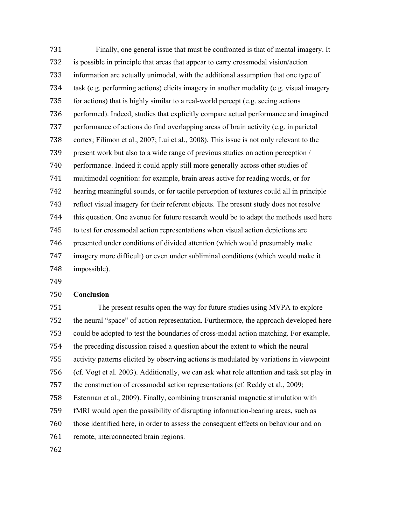Finally, one general issue that must be confronted is that of mental imagery. It is possible in principle that areas that appear to carry crossmodal vision/action information are actually unimodal, with the additional assumption that one type of task (e.g. performing actions) elicits imagery in another modality (e.g. visual imagery for actions) that is highly similar to a real-world percept (e.g. seeing actions performed). Indeed, studies that explicitly compare actual performance and imagined performance of actions do find overlapping areas of brain activity (e.g. in parietal cortex; Filimon et al., 2007; Lui et al., 2008). This issue is not only relevant to the present work but also to a wide range of previous studies on action perception / performance. Indeed it could apply still more generally across other studies of multimodal cognition: for example, brain areas active for reading words, or for hearing meaningful sounds, or for tactile perception of textures could all in principle reflect visual imagery for their referent objects. The present study does not resolve this question. One avenue for future research would be to adapt the methods used here to test for crossmodal action representations when visual action depictions are presented under conditions of divided attention (which would presumably make imagery more difficult) or even under subliminal conditions (which would make it impossible).

#### **Conclusion**

The present results open the way for future studies using MVPA to explore the neural "space" of action representation. Furthermore, the approach developed here could be adopted to test the boundaries of cross-modal action matching. For example, the preceding discussion raised a question about the extent to which the neural activity patterns elicited by observing actions is modulated by variations in viewpoint (cf. Vogt et al. 2003). Additionally, we can ask what role attention and task set play in the construction of crossmodal action representations (cf. Reddy et al., 2009; Esterman et al., 2009). Finally, combining transcranial magnetic stimulation with fMRI would open the possibility of disrupting information-bearing areas, such as those identified here, in order to assess the consequent effects on behaviour and on remote, interconnected brain regions.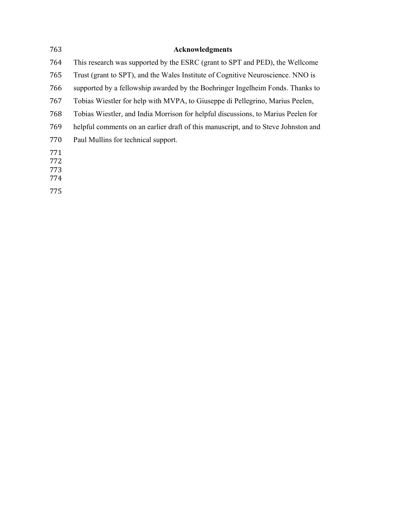| <b>Acknowledgments</b>                                                             |
|------------------------------------------------------------------------------------|
| This research was supported by the ESRC (grant to SPT and PED), the Wellcome       |
| Trust (grant to SPT), and the Wales Institute of Cognitive Neuroscience. NNO is    |
| supported by a fellowship awarded by the Boehringer Ingelheim Fonds. Thanks to     |
| Tobias Wiestler for help with MVPA, to Giuseppe di Pellegrino, Marius Peelen,      |
| Tobias Wiestler, and India Morrison for helpful discussions, to Marius Peelen for  |
| helpful comments on an earlier draft of this manuscript, and to Steve Johnston and |
| Paul Mullins for technical support.                                                |
|                                                                                    |
|                                                                                    |
|                                                                                    |
|                                                                                    |
|                                                                                    |
|                                                                                    |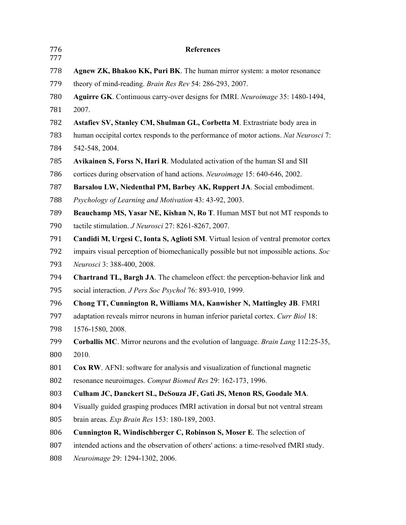| <b>References</b>                                                                      |
|----------------------------------------------------------------------------------------|
| Agnew ZK, Bhakoo KK, Puri BK. The human mirror system: a motor resonance               |
| theory of mind-reading. Brain Res Rev 54: 286-293, 2007.                               |
| Aguirre GK. Continuous carry-over designs for fMRI. Neuroimage 35: 1480-1494,          |
| 2007.                                                                                  |
| Astafiev SV, Stanley CM, Shulman GL, Corbetta M. Extrastriate body area in             |
| human occipital cortex responds to the performance of motor actions. Nat Neurosci 7:   |
| 542-548, 2004.                                                                         |
| Avikainen S, Forss N, Hari R. Modulated activation of the human SI and SII             |
| cortices during observation of hand actions. Neuroimage 15: 640-646, 2002.             |
| Barsalou LW, Niedenthal PM, Barbey AK, Ruppert JA. Social embodiment.                  |
| Psychology of Learning and Motivation 43: 43-92, 2003.                                 |
| Beauchamp MS, Yasar NE, Kishan N, Ro T. Human MST but not MT responds to               |
| tactile stimulation. <i>J Neurosci</i> 27: 8261-8267, 2007.                            |
| Candidi M, Urgesi C, Ionta S, Aglioti SM. Virtual lesion of ventral premotor cortex    |
| impairs visual perception of biomechanically possible but not impossible actions. Soc  |
| Neurosci 3: 388-400, 2008.                                                             |
| <b>Chartrand TL, Bargh JA</b> . The chameleon effect: the perception-behavior link and |
| social interaction. J Pers Soc Psychol 76: 893-910, 1999.                              |
| Chong TT, Cunnington R, Williams MA, Kanwisher N, Mattingley JB. FMRI                  |
| adaptation reveals mirror neurons in human inferior parietal cortex. Curr Biol 18:     |
| 1576-1580, 2008.                                                                       |
| Corballis MC. Mirror neurons and the evolution of language. Brain Lang 112:25-35,      |
| 2010.                                                                                  |
| Cox RW. AFNI: software for analysis and visualization of functional magnetic           |
| resonance neuroimages. Comput Biomed Res 29: 162-173, 1996.                            |
| Culham JC, Danckert SL, DeSouza JF, Gati JS, Menon RS, Goodale MA.                     |
| Visually guided grasping produces fMRI activation in dorsal but not ventral stream     |
| brain areas. Exp Brain Res 153: 180-189, 2003.                                         |
| Cunnington R, Windischberger C, Robinson S, Moser E. The selection of                  |
| intended actions and the observation of others' actions: a time-resolved fMRI study.   |
| Neuroimage 29: 1294-1302, 2006.                                                        |
|                                                                                        |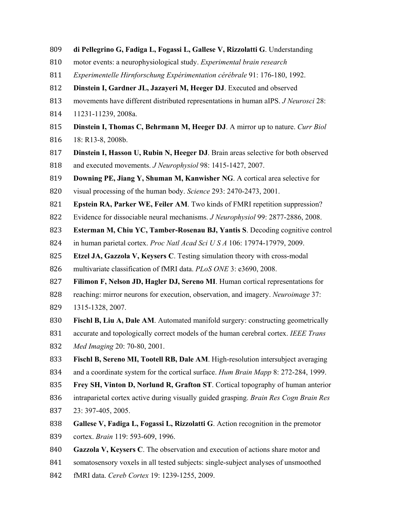- **di Pellegrino G, Fadiga L, Fogassi L, Gallese V, Rizzolatti G**. Understanding
- motor events: a neurophysiological study. *Experimental brain research*
- *Experimentelle Hirnforschung Expérimentation cérébrale* 91: 176-180, 1992.
- **Dinstein I, Gardner JL, Jazayeri M, Heeger DJ**. Executed and observed
- movements have different distributed representations in human aIPS. *J Neurosci* 28:
- 11231-11239, 2008a.
- **Dinstein I, Thomas C, Behrmann M, Heeger DJ**. A mirror up to nature. *Curr Biol*
- 18: R13-8, 2008b.
- **Dinstein I, Hasson U, Rubin N, Heeger DJ**. Brain areas selective for both observed
- and executed movements. *J Neurophysiol* 98: 1415-1427, 2007.
- **Downing PE, Jiang Y, Shuman M, Kanwisher NG**. A cortical area selective for

visual processing of the human body. *Science* 293: 2470-2473, 2001.

- **Epstein RA, Parker WE, Feiler AM**. Two kinds of FMRI repetition suppression?
- Evidence for dissociable neural mechanisms. *J Neurophysiol* 99: 2877-2886, 2008.
- **Esterman M, Chiu YC, Tamber-Rosenau BJ, Yantis S**. Decoding cognitive control
- in human parietal cortex. *Proc Natl Acad Sci U S A* 106: 17974-17979, 2009.
- **Etzel JA, Gazzola V, Keysers C**. Testing simulation theory with cross-modal
- multivariate classification of fMRI data. *PLoS ONE* 3: e3690, 2008.
- **Filimon F, Nelson JD, Hagler DJ, Sereno MI**. Human cortical representations for
- reaching: mirror neurons for execution, observation, and imagery. *Neuroimage* 37:
- 1315-1328, 2007.
- **Fischl B, Liu A, Dale AM**. Automated manifold surgery: constructing geometrically
- accurate and topologically correct models of the human cerebral cortex. *IEEE Trans*
- *Med Imaging* 20: 70-80, 2001.
- **Fischl B, Sereno MI, Tootell RB, Dale AM**. High-resolution intersubject averaging
- and a coordinate system for the cortical surface. *Hum Brain Mapp* 8: 272-284, 1999.
- **Frey SH, Vinton D, Norlund R, Grafton ST**. Cortical topography of human anterior
- intraparietal cortex active during visually guided grasping. *Brain Res Cogn Brain Res* 23: 397-405, 2005.
- **Gallese V, Fadiga L, Fogassi L, Rizzolatti G**. Action recognition in the premotor cortex. *Brain* 119: 593-609, 1996.
- **Gazzola V, Keysers C**. The observation and execution of actions share motor and
- somatosensory voxels in all tested subjects: single-subject analyses of unsmoothed
- fMRI data. *Cereb Cortex* 19: 1239-1255, 2009.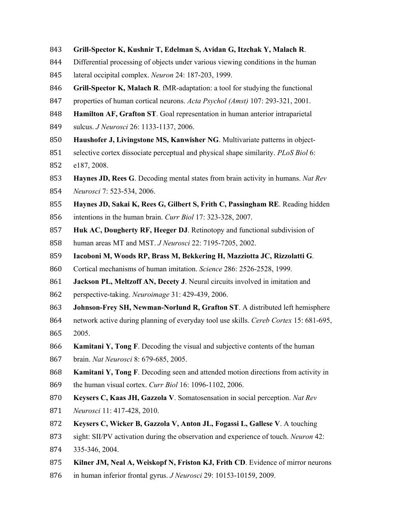- **Grill-Spector K, Kushnir T, Edelman S, Avidan G, Itzchak Y, Malach R**.
- Differential processing of objects under various viewing conditions in the human
- lateral occipital complex. *Neuron* 24: 187-203, 1999.
- **Grill-Spector K, Malach R**. fMR-adaptation: a tool for studying the functional
- properties of human cortical neurons. *Acta Psychol (Amst)* 107: 293-321, 2001.
- **Hamilton AF, Grafton ST**. Goal representation in human anterior intraparietal
- sulcus. *J Neurosci* 26: 1133-1137, 2006.
- **Haushofer J, Livingstone MS, Kanwisher NG**. Multivariate patterns in object-
- selective cortex dissociate perceptual and physical shape similarity. *PLoS Biol* 6:
- e187, 2008.
- **Haynes JD, Rees G**. Decoding mental states from brain activity in humans. *Nat Rev*
- *Neurosci* 7: 523-534, 2006.
- **Haynes JD, Sakai K, Rees G, Gilbert S, Frith C, Passingham RE**. Reading hidden
- intentions in the human brain. *Curr Biol* 17: 323-328, 2007.
- **Huk AC, Dougherty RF, Heeger DJ**. Retinotopy and functional subdivision of
- human areas MT and MST. *J Neurosci* 22: 7195-7205, 2002.
- **Iacoboni M, Woods RP, Brass M, Bekkering H, Mazziotta JC, Rizzolatti G**.
- Cortical mechanisms of human imitation. *Science* 286: 2526-2528, 1999.
- **Jackson PL, Meltzoff AN, Decety J**. Neural circuits involved in imitation and
- perspective-taking. *Neuroimage* 31: 429-439, 2006.
- **Johnson-Frey SH, Newman-Norlund R, Grafton ST**. A distributed left hemisphere
- network active during planning of everyday tool use skills. *Cereb Cortex* 15: 681-695,
- 2005.
- **Kamitani Y, Tong F**. Decoding the visual and subjective contents of the human
- brain. *Nat Neurosci* 8: 679-685, 2005.
- **Kamitani Y, Tong F**. Decoding seen and attended motion directions from activity in
- the human visual cortex. *Curr Biol* 16: 1096-1102, 2006.
- **Keysers C, Kaas JH, Gazzola V**. Somatosensation in social perception. *Nat Rev*
- *Neurosci* 11: 417-428, 2010.
- **Keysers C, Wicker B, Gazzola V, Anton JL, Fogassi L, Gallese V**. A touching
- sight: SII/PV activation during the observation and experience of touch. *Neuron* 42:
- 335-346, 2004.
- **Kilner JM, Neal A, Weiskopf N, Friston KJ, Frith CD**. Evidence of mirror neurons
- in human inferior frontal gyrus. *J Neurosci* 29: 10153-10159, 2009.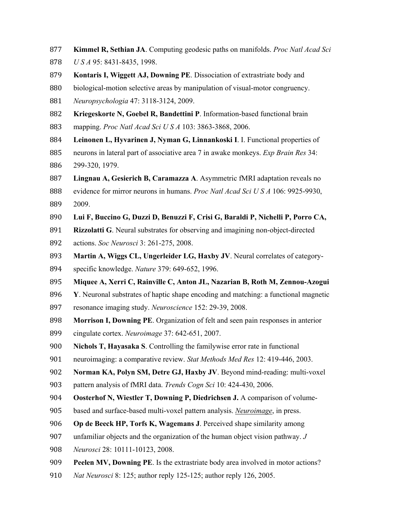- **Kimmel R, Sethian JA**. Computing geodesic paths on manifolds. *Proc Natl Acad Sci*
- *U S A* 95: 8431-8435, 1998.
- **Kontaris I, Wiggett AJ, Downing PE**. Dissociation of extrastriate body and
- biological-motion selective areas by manipulation of visual-motor congruency.
- *Neuropsychologia* 47: 3118-3124, 2009.
- **Kriegeskorte N, Goebel R, Bandettini P**. Information-based functional brain
- mapping. *Proc Natl Acad Sci U S A* 103: 3863-3868, 2006.
- **Leinonen L, Hyvarinen J, Nyman G, Linnankoski I**. I. Functional properties of
- neurons in lateral part of associative area 7 in awake monkeys. *Exp Brain Res* 34: 299-320, 1979.
- **Lingnau A, Gesierich B, Caramazza A**. Asymmetric fMRI adaptation reveals no
- evidence for mirror neurons in humans. *Proc Natl Acad Sci U S A* 106: 9925-9930, 2009.
- **Lui F, Buccino G, Duzzi D, Benuzzi F, Crisi G, Baraldi P, Nichelli P, Porro CA,**
- **Rizzolatti G**. Neural substrates for observing and imagining non-object-directed
- actions. *Soc Neurosci* 3: 261-275, 2008.
- **Martin A, Wiggs CL, Ungerleider LG, Haxby JV**. Neural correlates of category-
- specific knowledge. *Nature* 379: 649-652, 1996.
- **Miquee A, Xerri C, Rainville C, Anton JL, Nazarian B, Roth M, Zennou-Azogui**
- **Y**. Neuronal substrates of haptic shape encoding and matching: a functional magnetic
- resonance imaging study. *Neuroscience* 152: 29-39, 2008.
- **Morrison I, Downing PE**. Organization of felt and seen pain responses in anterior
- cingulate cortex. *Neuroimage* 37: 642-651, 2007.
- **Nichols T, Hayasaka S**. Controlling the familywise error rate in functional
- neuroimaging: a comparative review. *Stat Methods Med Res* 12: 419-446, 2003.
- **Norman KA, Polyn SM, Detre GJ, Haxby JV**. Beyond mind-reading: multi-voxel
- pattern analysis of fMRI data. *Trends Cogn Sci* 10: 424-430, 2006.
- **Oosterhof N, Wiestler T, Downing P, Diedrichsen J.** A comparison of volume-
- based and surface-based multi-voxel pattern analysis. *Neuroimage*, in press.
- **Op de Beeck HP, Torfs K, Wagemans J**. Perceived shape similarity among
- unfamiliar objects and the organization of the human object vision pathway. *J*
- *Neurosci* 28: 10111-10123, 2008.
- **Peelen MV, Downing PE**. Is the extrastriate body area involved in motor actions?
- *Nat Neurosci* 8: 125; author reply 125-125; author reply 126, 2005.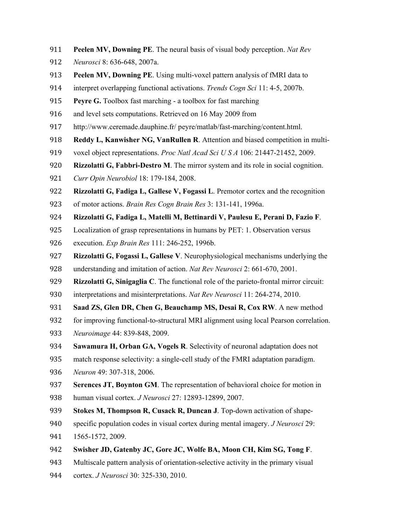- **Peelen MV, Downing PE**. The neural basis of visual body perception. *Nat Rev*
- *Neurosci* 8: 636-648, 2007a.
- **Peelen MV, Downing PE**. Using multi-voxel pattern analysis of fMRI data to
- interpret overlapping functional activations. *Trends Cogn Sci* 11: 4-5, 2007b.
- **Peyre G.** Toolbox fast marching a toolbox for fast marching
- and level sets computations. Retrieved on 16 May 2009 from
- http://www.ceremade.dauphine.fr/ peyre/matlab/fast-marching/content.html.
- **Reddy L, Kanwisher NG, VanRullen R**. Attention and biased competition in multi-
- voxel object representations. *Proc Natl Acad Sci U S A* 106: 21447-21452, 2009.
- **Rizzolatti G, Fabbri-Destro M**. The mirror system and its role in social cognition.
- *Curr Opin Neurobiol* 18: 179-184, 2008.
- **Rizzolatti G, Fadiga L, Gallese V, Fogassi L**. Premotor cortex and the recognition
- of motor actions. *Brain Res Cogn Brain Res* 3: 131-141, 1996a.
- **Rizzolatti G, Fadiga L, Matelli M, Bettinardi V, Paulesu E, Perani D, Fazio F**.
- Localization of grasp representations in humans by PET: 1. Observation versus
- execution. *Exp Brain Res* 111: 246-252, 1996b.
- **Rizzolatti G, Fogassi L, Gallese V**. Neurophysiological mechanisms underlying the
- understanding and imitation of action. *Nat Rev Neurosci* 2: 661-670, 2001.
- **Rizzolatti G, Sinigaglia C**. The functional role of the parieto-frontal mirror circuit:
- interpretations and misinterpretations. *Nat Rev Neurosci* 11: 264-274, 2010.
- **Saad ZS, Glen DR, Chen G, Beauchamp MS, Desai R, Cox RW**. A new method
- for improving functional-to-structural MRI alignment using local Pearson correlation.
- *Neuroimage* 44: 839-848, 2009.
- **Sawamura H, Orban GA, Vogels R**. Selectivity of neuronal adaptation does not
- match response selectivity: a single-cell study of the FMRI adaptation paradigm.
- *Neuron* 49: 307-318, 2006.
- **Serences JT, Boynton GM**. The representation of behavioral choice for motion in
- human visual cortex. *J Neurosci* 27: 12893-12899, 2007.
- **Stokes M, Thompson R, Cusack R, Duncan J**. Top-down activation of shape-
- specific population codes in visual cortex during mental imagery. *J Neurosci* 29:
- 1565-1572, 2009.
- **Swisher JD, Gatenby JC, Gore JC, Wolfe BA, Moon CH, Kim SG, Tong F**.
- Multiscale pattern analysis of orientation-selective activity in the primary visual
- cortex. *J Neurosci* 30: 325-330, 2010.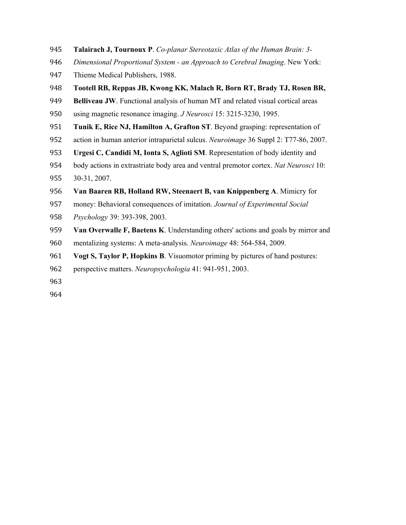- **Talairach J, Tournoux P**. *Co-planar Stereotaxic Atlas of the Human Brain: 3-*
- *Dimensional Proportional System an Approach to Cerebral Imaging*. New York:
- Thieme Medical Publishers, 1988.
- **Tootell RB, Reppas JB, Kwong KK, Malach R, Born RT, Brady TJ, Rosen BR,**
- **Belliveau JW**. Functional analysis of human MT and related visual cortical areas
- using magnetic resonance imaging. *J Neurosci* 15: 3215-3230, 1995.
- **Tunik E, Rice NJ, Hamilton A, Grafton ST**. Beyond grasping: representation of
- action in human anterior intraparietal sulcus. *Neuroimage* 36 Suppl 2: T77-86, 2007.
- **Urgesi C, Candidi M, Ionta S, Aglioti SM**. Representation of body identity and
- body actions in extrastriate body area and ventral premotor cortex. *Nat Neurosci* 10:
- 30-31, 2007.
- **Van Baaren RB, Holland RW, Steenaert B, van Knippenberg A**. Mimicry for
- money: Behavioral consequences of imitation. *Journal of Experimental Social*
- *Psychology* 39: 393-398, 2003.
- **Van Overwalle F, Baetens K**. Understanding others' actions and goals by mirror and
- mentalizing systems: A meta-analysis. *Neuroimage* 48: 564-584, 2009.
- **Vogt S, Taylor P, Hopkins B**. Visuomotor priming by pictures of hand postures:
- perspective matters. *Neuropsychologia* 41: 941-951, 2003.
- 
-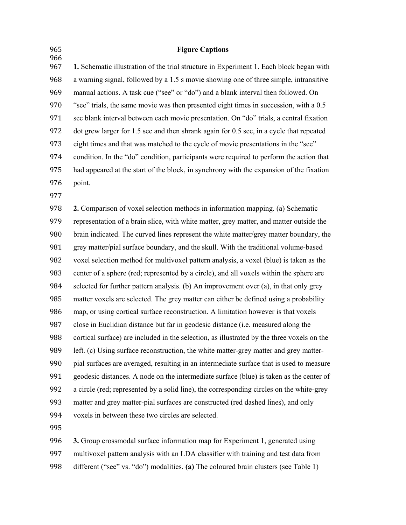| <b>Figure Captions</b>                                                                     |  |  |  |  |  |
|--------------------------------------------------------------------------------------------|--|--|--|--|--|
| 1. Schematic illustration of the trial structure in Experiment 1. Each block began with    |  |  |  |  |  |
| a warning signal, followed by a 1.5 s movie showing one of three simple, intransitive      |  |  |  |  |  |
| manual actions. A task cue ("see" or "do") and a blank interval then followed. On          |  |  |  |  |  |
| "see" trials, the same movie was then presented eight times in succession, with a 0.5      |  |  |  |  |  |
| sec blank interval between each movie presentation. On "do" trials, a central fixation     |  |  |  |  |  |
| dot grew larger for 1.5 sec and then shrank again for 0.5 sec, in a cycle that repeated    |  |  |  |  |  |
| eight times and that was matched to the cycle of movie presentations in the "see"          |  |  |  |  |  |
| condition. In the "do" condition, participants were required to perform the action that    |  |  |  |  |  |
| had appeared at the start of the block, in synchrony with the expansion of the fixation    |  |  |  |  |  |
| point.                                                                                     |  |  |  |  |  |
|                                                                                            |  |  |  |  |  |
| 2. Comparison of voxel selection methods in information mapping. (a) Schematic             |  |  |  |  |  |
| representation of a brain slice, with white matter, grey matter, and matter outside the    |  |  |  |  |  |
| brain indicated. The curved lines represent the white matter/grey matter boundary, the     |  |  |  |  |  |
| grey matter/pial surface boundary, and the skull. With the traditional volume-based        |  |  |  |  |  |
| voxel selection method for multivoxel pattern analysis, a voxel (blue) is taken as the     |  |  |  |  |  |
| center of a sphere (red; represented by a circle), and all voxels within the sphere are    |  |  |  |  |  |
| selected for further pattern analysis. (b) An improvement over (a), in that only grey      |  |  |  |  |  |
| matter voxels are selected. The grey matter can either be defined using a probability      |  |  |  |  |  |
| map, or using cortical surface reconstruction. A limitation however is that voxels         |  |  |  |  |  |
| close in Euclidian distance but far in geodesic distance (i.e. measured along the          |  |  |  |  |  |
| cortical surface) are included in the selection, as illustrated by the three voxels on the |  |  |  |  |  |
| left. (c) Using surface reconstruction, the white matter-grey matter and grey matter-      |  |  |  |  |  |
| pial surfaces are averaged, resulting in an intermediate surface that is used to measure   |  |  |  |  |  |
| geodesic distances. A node on the intermediate surface (blue) is taken as the center of    |  |  |  |  |  |
| a circle (red; represented by a solid line), the corresponding circles on the white-grey   |  |  |  |  |  |
| matter and grey matter-pial surfaces are constructed (red dashed lines), and only          |  |  |  |  |  |
| voxels in between these two circles are selected.                                          |  |  |  |  |  |
|                                                                                            |  |  |  |  |  |

**3.** Group crossmodal surface information map for Experiment 1, generated using multivoxel pattern analysis with an LDA classifier with training and test data from different ("see" vs. "do") modalities. **(a)** The coloured brain clusters (see Table 1)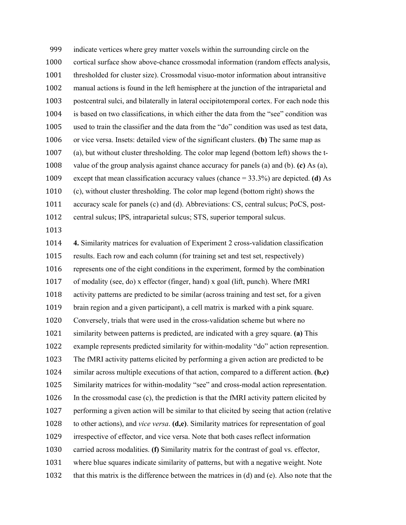indicate vertices where grey matter voxels within the surrounding circle on the cortical surface show above-chance crossmodal information (random effects analysis, thresholded for cluster size). Crossmodal visuo-motor information about intransitive manual actions is found in the left hemisphere at the junction of the intraparietal and postcentral sulci, and bilaterally in lateral occipitotemporal cortex. For each node this is based on two classifications, in which either the data from the "see" condition was used to train the classifier and the data from the "do" condition was used as test data, or vice versa. Insets: detailed view of the significant clusters. **(b)** The same map as (a), but without cluster thresholding. The color map legend (bottom left) shows the t-value of the group analysis against chance accuracy for panels (a) and (b). **(c)** As (a), except that mean classification accuracy values (chance = 33.3%) are depicted. **(d)** As (c), without cluster thresholding. The color map legend (bottom right) shows the accuracy scale for panels (c) and (d). Abbreviations: CS, central sulcus; PoCS, post-central sulcus; IPS, intraparietal sulcus; STS, superior temporal sulcus. **4.** Similarity matrices for evaluation of Experiment 2 cross-validation classification results. Each row and each column (for training set and test set, respectively) represents one of the eight conditions in the experiment, formed by the combination of modality (see, do) x effector (finger, hand) x goal (lift, punch). Where fMRI activity patterns are predicted to be similar (across training and test set, for a given brain region and a given participant), a cell matrix is marked with a pink square. Conversely, trials that were used in the cross-validation scheme but where no similarity between patterns is predicted, are indicated with a grey square. **(a)** This example represents predicted similarity for within-modality "do" action represention. The fMRI activity patterns elicited by performing a given action are predicted to be similar across multiple executions of that action, compared to a different action. **(b,c)** Similarity matrices for within-modality "see" and cross-modal action representation. In the crossmodal case (c), the prediction is that the fMRI activity pattern elicited by performing a given action will be similar to that elicited by seeing that action (relative to other actions), and *vice versa*. **(d,e)**. Similarity matrices for representation of goal irrespective of effector, and vice versa. Note that both cases reflect information

- carried across modalities. **(f)** Similarity matrix for the contrast of goal vs. effector,
- where blue squares indicate similarity of patterns, but with a negative weight. Note
- that this matrix is the difference between the matrices in (d) and (e). Also note that the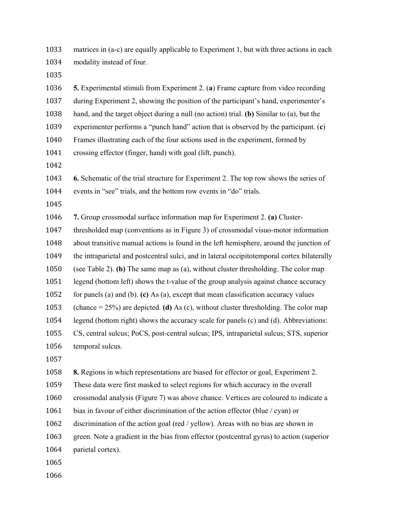matrices in (a-c) are equally applicable to Experiment 1, but with three actions in each modality instead of four.

 **5.** Experimental stimuli from Experiment 2. (**a**) Frame capture from video recording during Experiment 2, showing the position of the participant's hand, experimenter's hand, and the target object during a null (no action) trial. **(b)** Similar to (a), but the experimenter performs a "punch hand" action that is observed by the participant. (**c**) Frames illustrating each of the four actions used in the experiment, formed by crossing effector (finger, hand) with goal (lift, punch). **6.** Schematic of the trial structure for Experiment 2. The top row shows the series of events in "see" trials, and the bottom row events in "do" trials. **7.** Group crossmodal surface information map for Experiment 2. **(a)** Cluster-thresholded map (conventions as in Figure 3) of crossmodal visuo-motor information about transitive manual actions is found in the left hemisphere, around the junction of the intraparietal and postcentral sulci, and in lateral occipitotemporal cortex bilaterally (see Table 2). **(b)** The same map as (a), without cluster thresholding. The color map legend (bottom left) shows the t-value of the group analysis against chance accuracy for panels (a) and (b). **(c)** As (a), except that mean classification accuracy values (chance = 25%) are depicted. **(d)** As (c), without cluster thresholding. The color map legend (bottom right) shows the accuracy scale for panels (c) and (d). Abbreviations: CS, central sulcus; PoCS, post-central sulcus; IPS, intraparietal sulcus; STS, superior temporal sulcus. **8.** Regions in which representations are biased for effector or goal, Experiment 2. These data were first masked to select regions for which accuracy in the overall crossmodal analysis (Figure 7) was above chance. Vertices are coloured to indicate a bias in favour of either discrimination of the action effector (blue / cyan) or discrimination of the action goal (red / yellow). Areas with no bias are shown in green. Note a gradient in the bias from effector (postcentral gyrus) to action (superior parietal cortex).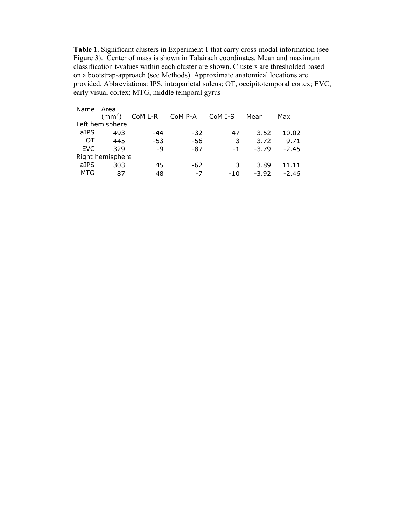**Table 1**. Significant clusters in Experiment 1 that carry cross-modal information (see Figure 3). Center of mass is shown in Talairach coordinates. Mean and maximum classification t-values within each cluster are shown. Clusters are thresholded based on a bootstrap-approach (see Methods). Approximate anatomical locations are provided. Abbreviations: IPS, intraparietal sulcus; OT, occipitotemporal cortex; EVC, early visual cortex; MTG, middle temporal gyrus

| Name       | Area             |       | $(mm2)$ CoM L-R CoM P-A CoM I-S |     | Mean    | Max     |
|------------|------------------|-------|---------------------------------|-----|---------|---------|
|            | Left hemisphere  |       |                                 |     |         |         |
| aIPS       | 493              | $-44$ | $-32$                           | 47  | 3.52    | 10.02   |
| OT.        | 445              | $-53$ | -56                             | 3   | 3.72    | 9.71    |
| <b>EVC</b> | 329              | $-9$  | $-87$                           | - 1 | $-3.79$ | $-2.45$ |
|            | Right hemisphere |       |                                 |     |         |         |
| aIPS       | 303              | 45    | $-62$                           | 3   | 3.89    | 11.11   |
| MTG        | 87               | 48    | $-7$                            | -10 | $-3.92$ | $-2.46$ |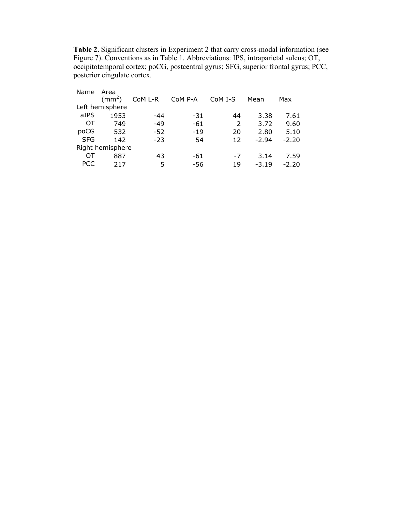**Table 2.** Significant clusters in Experiment 2 that carry cross-modal information (see Figure 7). Conventions as in Table 1. Abbreviations: IPS, intraparietal sulcus; OT, occipitotemporal cortex; poCG, postcentral gyrus; SFG, superior frontal gyrus; PCC, posterior cingulate cortex.

| Area            |         |                  |         |         |         |
|-----------------|---------|------------------|---------|---------|---------|
| $\rm (mm^2)$    | CoM L-R | CoM P-A          | CoM I-S | Mean    | Max     |
| Left hemisphere |         |                  |         |         |         |
| 1953            | -44     | $-31$            | 44      | 3.38    | 7.61    |
| 749             | $-49$   | -61              | 2       | 3.72    | 9.60    |
| 532             | $-52$   | $-19$            | 20      | 2.80    | 5.10    |
| 142             | $-23$   | 54               | 12      | $-2.94$ | $-2.20$ |
|                 |         |                  |         |         |         |
| 887             | 43      | -61              | $-7$    | 3.14    | 7.59    |
| 217             | 5       | -56              | 19      | $-3.19$ | $-2.20$ |
|                 |         | Right hemisphere |         |         |         |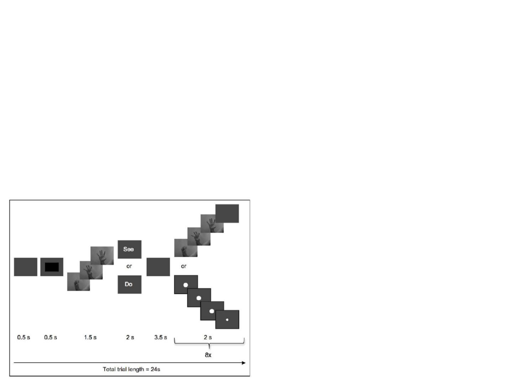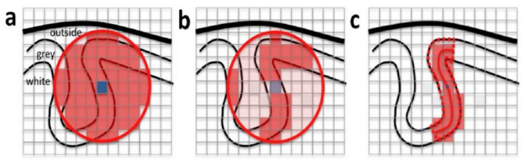





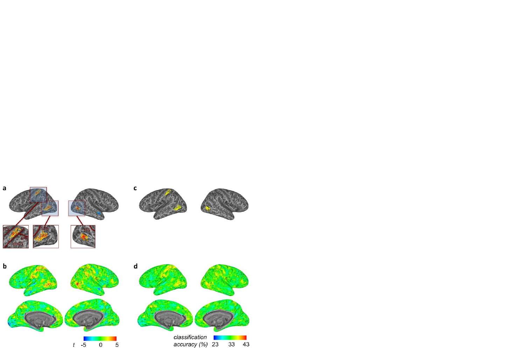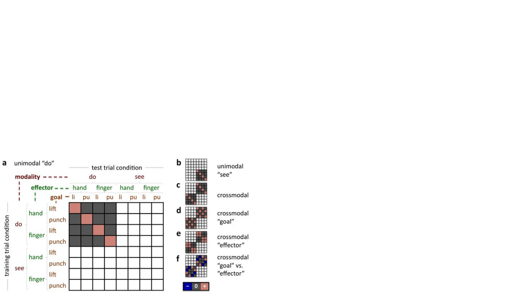



unimodal "see"

crossmodal

crossmodal "goal"

crossmodal "effector"

crossmodal "goal" vs. "effector"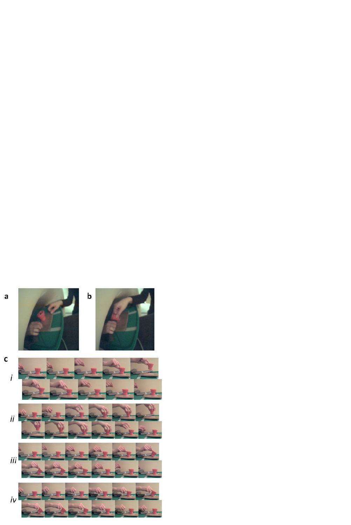











a

C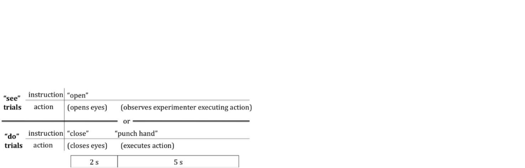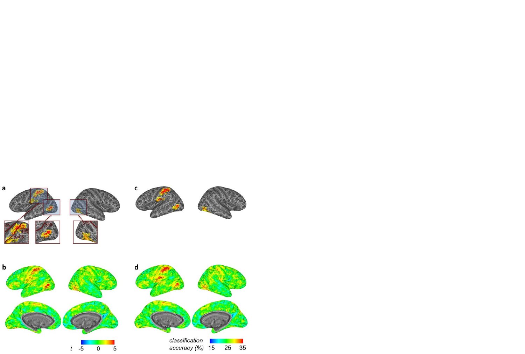